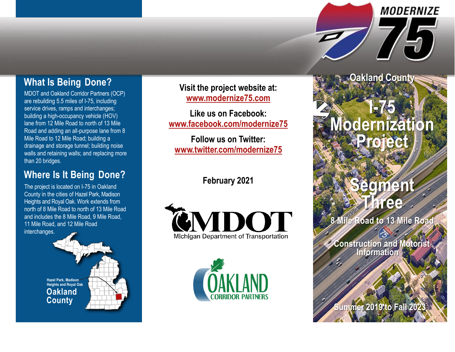## **What Is Being Done?**

MDOT and Oakland Corridor Partners (OCP) are rebuilding 5.5 miles of I -75, including service drives, ramps and interchanges; building a high -occupancy vehicle (HOV) lane from 12 Mile Road to north of 13 Mile Road and adding an all -purpose lane from 8 Mile Road to 12 Mile Road; building a drainage and storage tunnel; building noise walls and retaining walls; and replacing more than 20 bridges.

### **Where Is It Being Done ?**

The project is located on I -75 in Oakland County in the cities of Hazel Park, Madison Heights and Royal Oak. Work extends from north of 8 Mile Road to north of 13 Mile Road and includes the 8 Mile Road, 9 Mile Road, 11 Mile Road, and 12 Mile Road interchanges.



**Visit the project website at: [www.modernize75.com](http://www.modernize75.com/)**

**Like us on Facebook: [www.facebook.com/modernize75](http://www.facebook.com/modernize75)**

**Follow us on Twitter: ww w. twit t e [r.com/moderni](http://www.twitter.com/modernize75) ze75**

**February 2021**





**I-75 Moder niz ation Proje** 

**Oakland County**

**MODERNIZE** 

 $\sqrt{\omega}$ 

# **Segment Three**

**8 Mile Road to 13 Mile Road**

**Construction and Motorist Information**

**Summer 2019 to Fall 20**